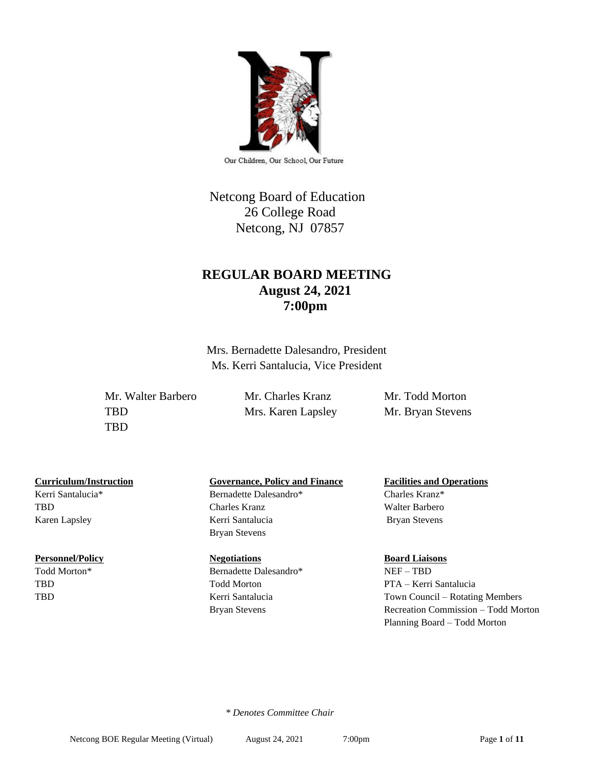

Our Children, Our School, Our Future

# Netcong Board of Education 26 College Road Netcong, NJ 07857

# **REGULAR BOARD MEETING August 24, 2021 7:00pm**

Mrs. Bernadette Dalesandro, President Ms. Kerri Santalucia, Vice President

Mr. Walter Barbero Mr. Charles Kranz Mr. Todd Morton TBD Mrs. Karen Lapsley Mr. Bryan Stevens TBD

Kerri Santalucia\* Bernadette Dalesandro\* Charles Kranz\*

#### **Personnel/Policy Regotiations Board Liaisons Board Liaisons**

## **Curriculum/Instruction Governance, Policy and Finance Facilities and Operations**

TBD Charles Kranz Walter Barbero Karen Lapsley **Kerri Santalucia** Bryan Stevens Bryan Stevens

Todd Morton\* Bernadette Dalesandro\* NEF – TBD Bryan Stevens Recreation Commission – Todd Morton

# TBD Todd Morton PTA – Kerri Santalucia TBD Kerri Santalucia Town Council – Rotating Members

Planning Board – Todd Morton

 *\* Denotes Committee Chair*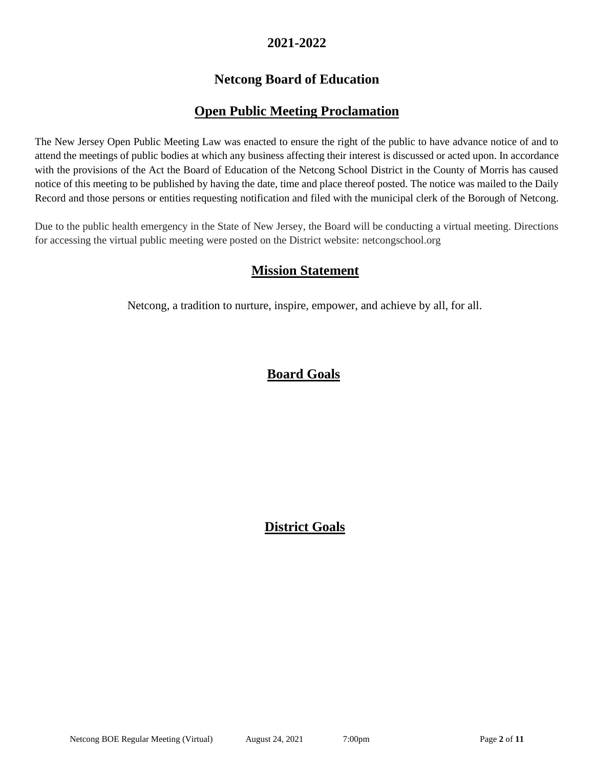# **2021-2022**

# **Netcong Board of Education**

# **Open Public Meeting Proclamation**

The New Jersey Open Public Meeting Law was enacted to ensure the right of the public to have advance notice of and to attend the meetings of public bodies at which any business affecting their interest is discussed or acted upon. In accordance with the provisions of the Act the Board of Education of the Netcong School District in the County of Morris has caused notice of this meeting to be published by having the date, time and place thereof posted. The notice was mailed to the Daily Record and those persons or entities requesting notification and filed with the municipal clerk of the Borough of Netcong.

Due to the public health emergency in the State of New Jersey, the Board will be conducting a virtual meeting. Directions for accessing the virtual public meeting were posted on the District website: netcongschool.org

# **Mission Statement**

Netcong, a tradition to nurture, inspire, empower, and achieve by all, for all.

# **Board Goals**

# **District Goals**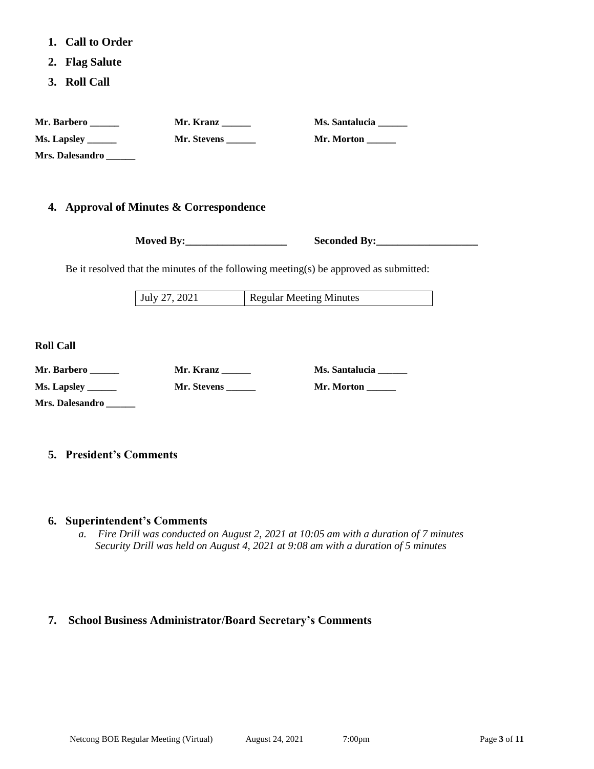- **1. Call to Order**
- **2. Flag Salute**
- **3. Roll Call**

| Mr. Barbero               | Mr. Kranz   | <b>Ms. Santalucia</b> |
|---------------------------|-------------|-----------------------|
| <b>Ms. Lapsley ______</b> | Mr. Stevens | Mr. Morton            |
| Mrs. Dalesandro           |             |                       |

### **4. Approval of Minutes & Correspondence**

**Moved By:** Seconded By:

Be it resolved that the minutes of the following meeting(s) be approved as submitted:

July 27, 2021 Regular Meeting Minutes

**Roll Call**

| Mr. Barbero     | Mr. Kranz   | Ms. Santalucia |
|-----------------|-------------|----------------|
| Ms. Lapsley     | Mr. Stevens | Mr. Morton     |
| Mrs. Dalesandro |             |                |

### **5. President's Comments**

#### **6. Superintendent's Comments**

*a. Fire Drill was conducted on August 2, 2021 at 10:05 am with a duration of 7 minutes Security Drill was held on August 4, 2021 at 9:08 am with a duration of 5 minutes*

### **7. School Business Administrator/Board Secretary's Comments**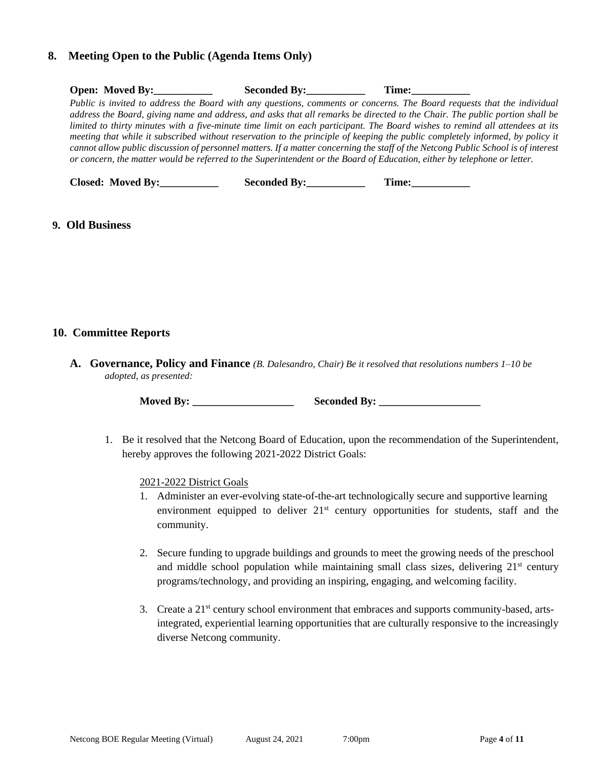#### **8. Meeting Open to the Public (Agenda Items Only)**

| <b>Open:</b> Moved By: | Seconded By: | Time:                                                                                                                             |
|------------------------|--------------|-----------------------------------------------------------------------------------------------------------------------------------|
|                        |              | Public is invited to address the Board with any questions, comments or concerns. The Board requests that the individual           |
|                        |              | address the Board, giving name and address, and asks that all remarks be directed to the Chair. The public portion shall be       |
|                        |              | limited to thirty minutes with a five-minute time limit on each participant. The Board wishes to remind all attendees at its      |
|                        |              | meeting that while it subscribed without reservation to the principle of keeping the public completely informed, by policy it     |
|                        |              | cannot allow public discussion of personnel matters. If a matter concerning the staff of the Netcong Public School is of interest |
|                        |              | or concern, the matter would be referred to the Superintendent or the Board of Education, either by telephone or letter.          |
|                        |              |                                                                                                                                   |

 **Closed: Moved By: Seconded By: Time:** 

#### **9. Old Business**

#### **10. Committee Reports**

**A. Governance, Policy and Finance** *(B. Dalesandro, Chair) Be it resolved that resolutions numbers 1–10 be adopted, as presented:*

**Moved By: \_\_\_\_\_\_\_\_\_\_\_\_\_\_\_\_\_\_\_ Seconded By: \_\_\_\_\_\_\_\_\_\_\_\_\_\_\_\_\_\_\_**

1. Be it resolved that the Netcong Board of Education, upon the recommendation of the Superintendent, hereby approves the following 2021-2022 District Goals:

2021-2022 District Goals

- 1. Administer an ever-evolving state-of-the-art technologically secure and supportive learning environment equipped to deliver  $21<sup>st</sup>$  century opportunities for students, staff and the community.
- 2. Secure funding to upgrade buildings and grounds to meet the growing needs of the preschool and middle school population while maintaining small class sizes, delivering  $21<sup>st</sup>$  century programs/technology, and providing an inspiring, engaging, and welcoming facility.
- 3. Create a 21st century school environment that embraces and supports community-based, artsintegrated, experiential learning opportunities that are culturally responsive to the increasingly diverse Netcong community.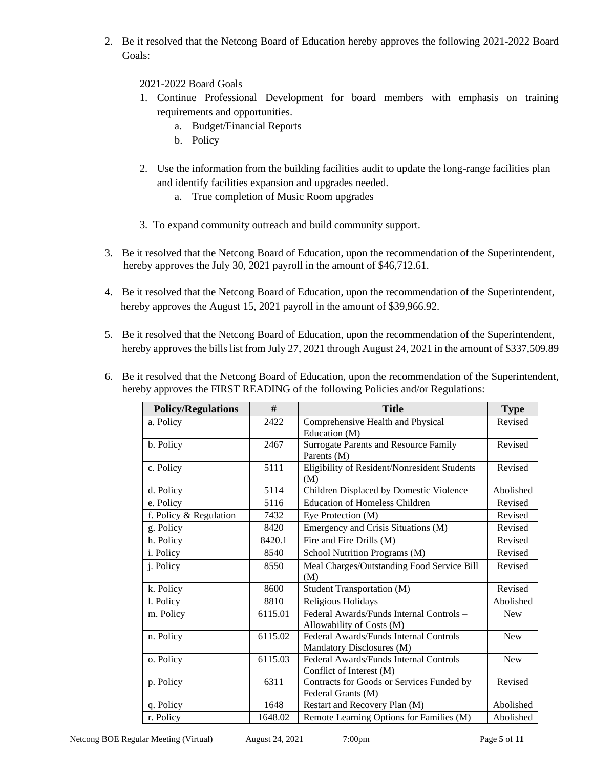2. Be it resolved that the Netcong Board of Education hereby approves the following 2021-2022 Board Goals:

2021-2022 Board Goals

- 1. Continue Professional Development for board members with emphasis on training requirements and opportunities.
	- a. Budget/Financial Reports
	- b. Policy
- 2. Use the information from the building facilities audit to update the long-range facilities plan and identify facilities expansion and upgrades needed.
	- a. True completion of Music Room upgrades
- 3. To expand community outreach and build community support.
- 3. Be it resolved that the Netcong Board of Education, upon the recommendation of the Superintendent, hereby approves the July 30, 2021 payroll in the amount of \$46,712.61.
- 4. Be it resolved that the Netcong Board of Education, upon the recommendation of the Superintendent, hereby approves the August 15, 2021 payroll in the amount of \$39,966.92.
- 5. Be it resolved that the Netcong Board of Education, upon the recommendation of the Superintendent, hereby approves the bills list from July 27, 2021 through August 24, 2021 in the amount of \$337,509.89

| 6. Be it resolved that the Netcong Board of Education, upon the recommendation of the Superintendent, |
|-------------------------------------------------------------------------------------------------------|
| hereby approves the FIRST READING of the following Policies and/or Regulations:                       |

| <b>Policy/Regulations</b> | #       | <b>Title</b>                                                          | <b>Type</b> |
|---------------------------|---------|-----------------------------------------------------------------------|-------------|
| a. Policy                 | 2422    | Comprehensive Health and Physical<br>Education (M)                    | Revised     |
| b. Policy                 | 2467    | Surrogate Parents and Resource Family<br>Parents (M)                  | Revised     |
| c. Policy                 | 5111    | Eligibility of Resident/Nonresident Students<br>(M)                   | Revised     |
| d. Policy                 | 5114    | Children Displaced by Domestic Violence                               | Abolished   |
| e. Policy                 | 5116    | <b>Education of Homeless Children</b>                                 | Revised     |
| f. Policy & Regulation    | 7432    | Eye Protection (M)                                                    | Revised     |
| g. Policy                 | 8420    | Emergency and Crisis Situations (M)                                   | Revised     |
| h. Policy                 | 8420.1  | Fire and Fire Drills (M)                                              | Revised     |
| i. Policy                 | 8540    | School Nutrition Programs (M)                                         | Revised     |
| j. Policy                 | 8550    | Meal Charges/Outstanding Food Service Bill<br>(M)                     | Revised     |
| k. Policy                 | 8600    | Student Transportation (M)                                            | Revised     |
| 1. Policy                 | 8810    | Religious Holidays                                                    | Abolished   |
| m. Policy                 | 6115.01 | Federal Awards/Funds Internal Controls -<br>Allowability of Costs (M) | <b>New</b>  |
| n. Policy                 | 6115.02 | Federal Awards/Funds Internal Controls -<br>Mandatory Disclosures (M) | <b>New</b>  |
| o. Policy                 | 6115.03 | Federal Awards/Funds Internal Controls -<br>Conflict of Interest (M)  | <b>New</b>  |
| p. Policy                 | 6311    | Contracts for Goods or Services Funded by<br>Federal Grants (M)       | Revised     |
| q. Policy                 | 1648    | Restart and Recovery Plan (M)                                         | Abolished   |
| r. Policy                 | 1648.02 | Remote Learning Options for Families (M)                              | Abolished   |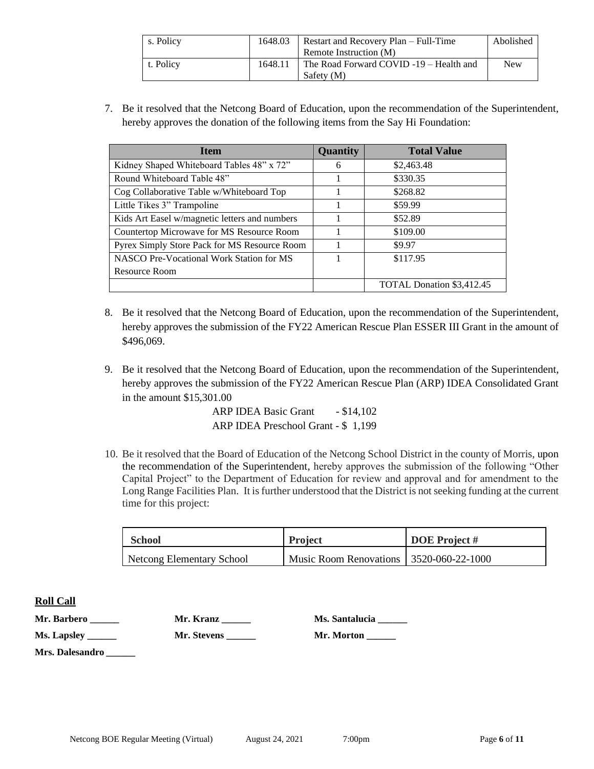| s. Policy | 1648.03 | Restart and Recovery Plan – Full-Time   | Abolished |
|-----------|---------|-----------------------------------------|-----------|
|           |         | Remote Instruction (M)                  |           |
| t. Policy | 1648.11 | The Road Forward COVID -19 – Health and | New       |
|           |         | Safety (M)                              |           |

7. Be it resolved that the Netcong Board of Education, upon the recommendation of the Superintendent, hereby approves the donation of the following items from the Say Hi Foundation:

| <b>Item</b>                                   | <b>Quantity</b> | <b>Total Value</b>        |
|-----------------------------------------------|-----------------|---------------------------|
| Kidney Shaped Whiteboard Tables 48" x 72"     | 6               | \$2,463.48                |
| Round Whiteboard Table 48"                    |                 | \$330.35                  |
| Cog Collaborative Table w/Whiteboard Top      |                 | \$268.82                  |
| Little Tikes 3" Trampoline                    |                 | \$59.99                   |
| Kids Art Easel w/magnetic letters and numbers |                 | \$52.89                   |
| Countertop Microwave for MS Resource Room     |                 | \$109.00                  |
| Pyrex Simply Store Pack for MS Resource Room  |                 | \$9.97                    |
| NASCO Pre-Vocational Work Station for MS      |                 | \$117.95                  |
| Resource Room                                 |                 |                           |
|                                               |                 | TOTAL Donation \$3,412.45 |

- 8. Be it resolved that the Netcong Board of Education, upon the recommendation of the Superintendent, hereby approves the submission of the FY22 American Rescue Plan ESSER III Grant in the amount of \$496,069.
- 9. Be it resolved that the Netcong Board of Education, upon the recommendation of the Superintendent, hereby approves the submission of the FY22 American Rescue Plan (ARP) IDEA Consolidated Grant in the amount \$15,301.00

ARP IDEA Basic Grant - \$14,102 ARP IDEA Preschool Grant - \$ 1,199

10. Be it resolved that the Board of Education of the Netcong School District in the county of Morris, upon the recommendation of the Superintendent, hereby approves the submission of the following "Other Capital Project" to the Department of Education for review and approval and for amendment to the Long Range Facilities Plan. It is further understood that the District is not seeking funding at the current time for this project:

| <b>School</b>             | <b>Project</b>                          | <b>DOE</b> Project # |
|---------------------------|-----------------------------------------|----------------------|
| Netcong Elementary School | Music Room Renovations 3520-060-22-1000 |                      |

### **Roll Call**

| Mr. Barbero     | Mr. Kranz   | Ms. Santalucia |
|-----------------|-------------|----------------|
|                 | Mr. Stevens | Mr. Morton     |
| Mrs. Dalesandro |             |                |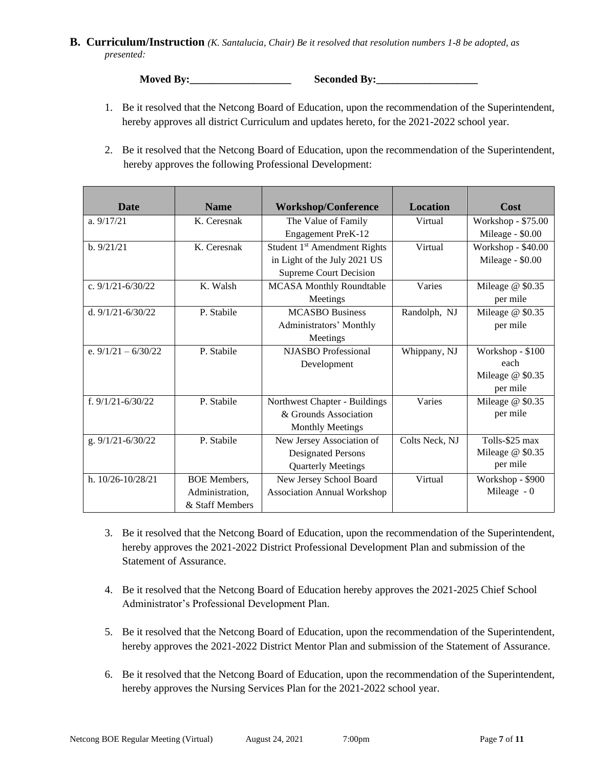#### **B. Curriculum/Instruction** *(K. Santalucia, Chair) Be it resolved that resolution numbers 1-8 be adopted, as presented:*

**Moved By:\_\_\_\_\_\_\_\_\_\_\_\_\_\_\_\_\_\_\_ Seconded By:\_\_\_\_\_\_\_\_\_\_\_\_\_\_\_\_\_\_\_**

- 1. Be it resolved that the Netcong Board of Education, upon the recommendation of the Superintendent, hereby approves all district Curriculum and updates hereto, for the 2021-2022 school year.
- 2. Be it resolved that the Netcong Board of Education, upon the recommendation of the Superintendent, hereby approves the following Professional Development:

| <b>Date</b>           | <b>Name</b>         | <b>Workshop/Conference</b>               | <b>Location</b> | Cost               |
|-----------------------|---------------------|------------------------------------------|-----------------|--------------------|
| a. $9/17/21$          | K. Ceresnak         | The Value of Family                      | Virtual         | Workshop - \$75.00 |
|                       |                     | Engagement PreK-12                       |                 | Mileage - \$0.00   |
| b. 9/21/21            | K. Ceresnak         | Student 1 <sup>st</sup> Amendment Rights | Virtual         | Workshop - \$40.00 |
|                       |                     | in Light of the July 2021 US             |                 | Mileage - \$0.00   |
|                       |                     | <b>Supreme Court Decision</b>            |                 |                    |
| c. $9/1/21 - 6/30/22$ | K. Walsh            | <b>MCASA Monthly Roundtable</b>          | Varies          | Mileage @ \$0.35   |
|                       |                     | Meetings                                 |                 | per mile           |
| d. $9/1/21 - 6/30/22$ | P. Stabile          | <b>MCASBO Business</b>                   | Randolph, NJ    | Mileage @ \$0.35   |
|                       |                     | Administrators' Monthly                  |                 | per mile           |
|                       |                     | Meetings                                 |                 |                    |
| e. $9/1/21 - 6/30/22$ | P. Stabile          | <b>NJASBO</b> Professional               | Whippany, NJ    | Workshop - \$100   |
|                       |                     | Development                              |                 | each               |
|                       |                     |                                          |                 | Mileage @ \$0.35   |
|                       |                     |                                          |                 | per mile           |
| f. $9/1/21 - 6/30/22$ | P. Stabile          | Northwest Chapter - Buildings            | Varies          | Mileage @ \$0.35   |
|                       |                     | & Grounds Association                    |                 | per mile           |
|                       |                     | <b>Monthly Meetings</b>                  |                 |                    |
| g. 9/1/21-6/30/22     | P. Stabile          | New Jersey Association of                | Colts Neck, NJ  | Tolls-\$25 max     |
|                       |                     | <b>Designated Persons</b>                |                 | Mileage @ \$0.35   |
|                       |                     | <b>Quarterly Meetings</b>                |                 | per mile           |
| h. $10/26 - 10/28/21$ | <b>BOE</b> Members. | New Jersey School Board                  | Virtual         | Workshop - \$900   |
|                       | Administration,     | <b>Association Annual Workshop</b>       |                 | Mileage $-0$       |
|                       | & Staff Members     |                                          |                 |                    |

- 3. Be it resolved that the Netcong Board of Education, upon the recommendation of the Superintendent, hereby approves the 2021-2022 District Professional Development Plan and submission of the Statement of Assurance.
- 4. Be it resolved that the Netcong Board of Education hereby approves the 2021-2025 Chief School Administrator's Professional Development Plan.
- 5. Be it resolved that the Netcong Board of Education, upon the recommendation of the Superintendent, hereby approves the 2021-2022 District Mentor Plan and submission of the Statement of Assurance.
- 6. Be it resolved that the Netcong Board of Education, upon the recommendation of the Superintendent, hereby approves the Nursing Services Plan for the 2021-2022 school year.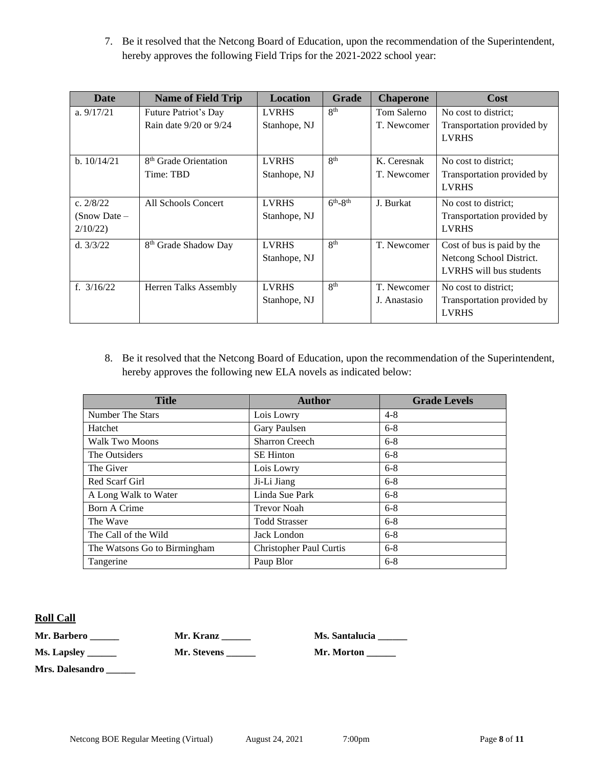7. Be it resolved that the Netcong Board of Education, upon the recommendation of the Superintendent, hereby approves the following Field Trips for the 2021-2022 school year:

| Date                      | <b>Name of Field Trip</b>         | <b>Location</b> | <b>Grade</b>    | <b>Chaperone</b> | Cost                                                |
|---------------------------|-----------------------------------|-----------------|-----------------|------------------|-----------------------------------------------------|
| a. $9/17/21$              | Future Patriot's Day              | <b>LVRHS</b>    | 8 <sup>th</sup> | Tom Salerno      | No cost to district:                                |
|                           | Rain date $9/20$ or $9/24$        | Stanhope, NJ    |                 | T. Newcomer      | Transportation provided by<br><b>LVRHS</b>          |
| b. 10/14/21               | 8 <sup>th</sup> Grade Orientation | <b>LVRHS</b>    | 8 <sup>th</sup> | K. Ceresnak      | No cost to district:                                |
|                           | Time: TBD                         | Stanhope, NJ    |                 | T. Newcomer      | Transportation provided by<br><b>LVRHS</b>          |
| c. $2/8/22$               | All Schools Concert               | <b>LVRHS</b>    | $6th-8th$       | J. Burkat        | No cost to district;                                |
| $(Snow Date -$<br>2/10/22 |                                   | Stanhope, NJ    |                 |                  | Transportation provided by<br><b>LVRHS</b>          |
| d. $3/3/22$               | 8 <sup>th</sup> Grade Shadow Day  | <b>LVRHS</b>    | 8 <sup>th</sup> | T. Newcomer      | Cost of bus is paid by the                          |
|                           |                                   | Stanhope, NJ    |                 |                  | Netcong School District.<br>LVRHS will bus students |
| f. $3/16/22$              | Herren Talks Assembly             | <b>LVRHS</b>    | 8 <sup>th</sup> | T. Newcomer      | No cost to district:                                |
|                           |                                   | Stanhope, NJ    |                 | J. Anastasio     | Transportation provided by<br><b>LVRHS</b>          |

8. Be it resolved that the Netcong Board of Education, upon the recommendation of the Superintendent, hereby approves the following new ELA novels as indicated below:

| <b>Title</b>                 | <b>Author</b>                  | <b>Grade Levels</b> |
|------------------------------|--------------------------------|---------------------|
| Number The Stars             | Lois Lowry                     | $4 - 8$             |
| Hatchet                      | Gary Paulsen                   | $6 - 8$             |
| <b>Walk Two Moons</b>        | <b>Sharron Creech</b>          | $6 - 8$             |
| The Outsiders                | <b>SE Hinton</b>               | $6 - 8$             |
| The Giver                    | Lois Lowry                     | $6 - 8$             |
| Red Scarf Girl               | Ji-Li Jiang                    | $6 - 8$             |
| A Long Walk to Water         | Linda Sue Park                 | $6 - 8$             |
| Born A Crime                 | <b>Trevor Noah</b>             | $6 - 8$             |
| The Wave                     | <b>Todd Strasser</b>           | $6 - 8$             |
| The Call of the Wild         | Jack London                    | $6 - 8$             |
| The Watsons Go to Birmingham | <b>Christopher Paul Curtis</b> | $6 - 8$             |
| Tangerine                    | Paup Blor                      | $6 - 8$             |

#### **Roll Call**

**Mr. Barbero \_\_\_\_\_\_ Mr. Kranz \_\_\_\_\_\_ Ms. Santalucia \_\_\_\_\_\_**

**Ms. Lapsley \_\_\_\_\_\_ Mr. Stevens \_\_\_\_\_\_ Mr. Morton \_\_\_\_\_\_**

**Mrs. Dalesandro** *\_\_\_\_\_\_*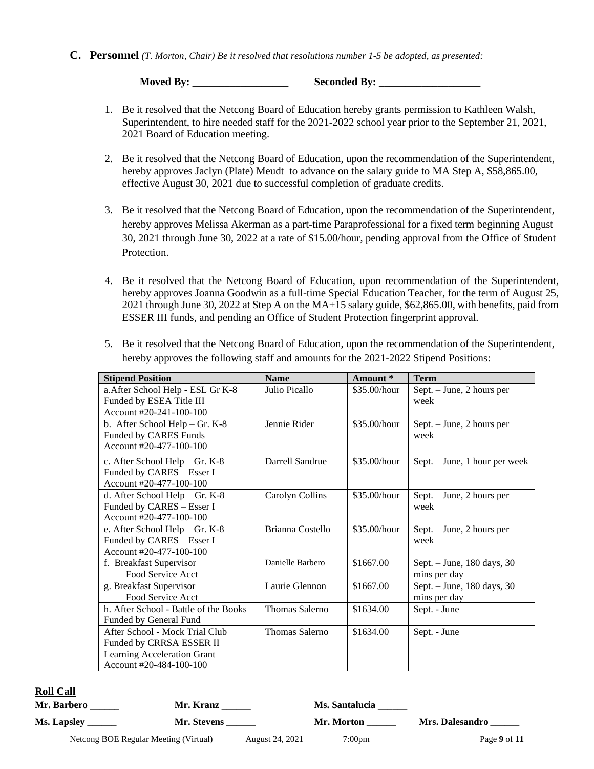#### **C. Personnel** *(T. Morton, Chair) Be it resolved that resolutions number 1-5 be adopted, as presented:*

**Moved By: \_\_\_\_\_\_\_\_\_\_\_\_\_\_\_\_\_\_ Seconded By: \_\_\_\_\_\_\_\_\_\_\_\_\_\_\_\_\_\_\_**

- 1. Be it resolved that the Netcong Board of Education hereby grants permission to Kathleen Walsh, Superintendent, to hire needed staff for the 2021-2022 school year prior to the September 21, 2021, 2021 Board of Education meeting.
- 2. Be it resolved that the Netcong Board of Education, upon the recommendation of the Superintendent, hereby approves Jaclyn (Plate) Meudt to advance on the salary guide to MA Step A, \$58,865.00, effective August 30, 2021 due to successful completion of graduate credits*.*
- 3. Be it resolved that the Netcong Board of Education, upon the recommendation of the Superintendent, hereby approves Melissa Akerman as a part-time Paraprofessional for a fixed term beginning August 30, 2021 through June 30, 2022 at a rate of \$15.00/hour, pending approval from the Office of Student Protection.
- 4. Be it resolved that the Netcong Board of Education, upon recommendation of the Superintendent, hereby approves Joanna Goodwin as a full-time Special Education Teacher, for the term of August 25, 2021 through June 30, 2022 at Step A on the MA+15 salary guide, \$62,865.00, with benefits, paid from ESSER III funds, and pending an Office of Student Protection fingerprint approval.

| <b>Stipend Position</b>               | <b>Name</b>      | Amount*      | <b>Term</b>                   |
|---------------------------------------|------------------|--------------|-------------------------------|
| a. After School Help - ESL Gr K-8     | Julio Picallo    | \$35.00/hour | Sept. - June, 2 hours per     |
| Funded by ESEA Title III              |                  |              | week                          |
| Account #20-241-100-100               |                  |              |                               |
| b. After School Help - Gr. K-8        | Jennie Rider     | \$35.00/hour | Sept. - June, 2 hours per     |
| Funded by CARES Funds                 |                  |              | week                          |
| Account #20-477-100-100               |                  |              |                               |
| c. After School Help - Gr. K-8        | Darrell Sandrue  | \$35.00/hour | Sept. - June, 1 hour per week |
| Funded by CARES - Esser I             |                  |              |                               |
| Account #20-477-100-100               |                  |              |                               |
| d. After School Help - Gr. K-8        | Carolyn Collins  | \$35.00/hour | Sept. - June, 2 hours per     |
| Funded by CARES - Esser I             |                  |              | week                          |
| Account #20-477-100-100               |                  |              |                               |
| e. After School Help - Gr. K-8        | Brianna Costello | \$35.00/hour | Sept. – June, 2 hours per     |
| Funded by CARES - Esser I             |                  |              | week                          |
| Account #20-477-100-100               |                  |              |                               |
| f. Breakfast Supervisor               | Danielle Barbero | \$1667.00    | Sept. - June, 180 days, 30    |
| Food Service Acct                     |                  |              | mins per day                  |
| g. Breakfast Supervisor               | Laurie Glennon   | \$1667.00    | Sept. - June, 180 days, 30    |
| Food Service Acct                     |                  |              | mins per day                  |
| h. After School - Battle of the Books | Thomas Salerno   | \$1634.00    | Sept. - June                  |
| Funded by General Fund                |                  |              |                               |
| After School - Mock Trial Club        | Thomas Salerno   | \$1634.00    | Sept. - June                  |
| Funded by CRRSA ESSER II              |                  |              |                               |
| Learning Acceleration Grant           |                  |              |                               |
| Account #20-484-100-100               |                  |              |                               |

5. Be it resolved that the Netcong Board of Education, upon the recommendation of the Superintendent, hereby approves the following staff and amounts for the 2021-2022 Stipend Positions:

#### **R**

| Roll Call   |                                       |             |                 |                  |                 |
|-------------|---------------------------------------|-------------|-----------------|------------------|-----------------|
| Mr. Barbero |                                       | Mr. Kranz   |                 | Ms. Santalucia   |                 |
|             | Ms. Lapsley ____                      | Mr. Stevens |                 | Mr. Morton       | Mrs. Dalesandro |
|             | Netcong BOE Regular Meeting (Virtual) |             | August 24, 2021 | $7:00 \text{pm}$ | Page 9 of 11    |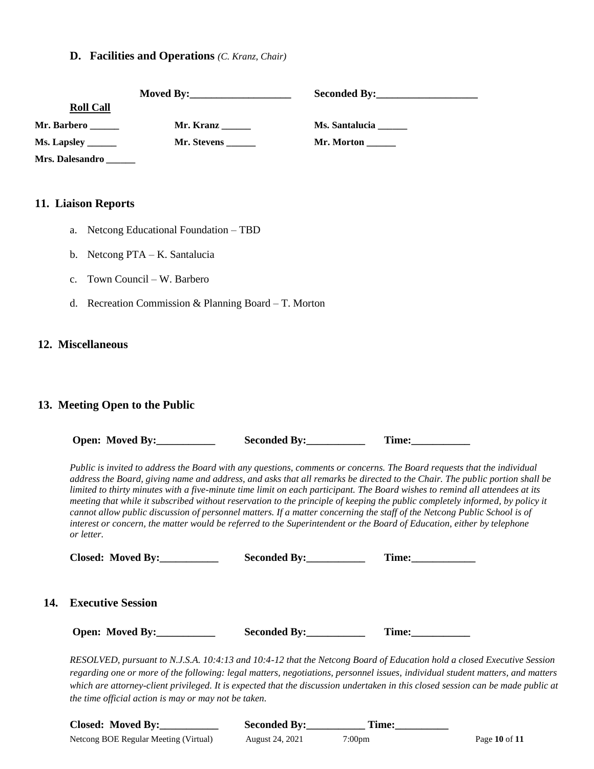#### **D. Facilities and Operations** *(C. Kranz, Chair)*

| <b>Roll Call</b> |                     |                   |
|------------------|---------------------|-------------------|
| Mr. Barbero      | Mr. Kranz           | Ms. Santalucia    |
|                  | Mr. Stevens _______ | Mr. Morton $\_\_$ |
| Mrs. Dalesandro  |                     |                   |

#### **11. Liaison Reports**

- a. Netcong Educational Foundation TBD
- b. Netcong PTA K. Santalucia
- c. Town Council W. Barbero
- d. Recreation Commission & Planning Board T. Morton

#### **12. Miscellaneous**

**14.** 

#### **13. Meeting Open to the Public**

|  | <b>Open: Moved By:</b> | <b>Seconded By:</b> | l'ime: |
|--|------------------------|---------------------|--------|
|--|------------------------|---------------------|--------|

*Public is invited to address the Board with any questions, comments or concerns. The Board requests that the individual address the Board, giving name and address, and asks that all remarks be directed to the Chair. The public portion shall be limited to thirty minutes with a five-minute time limit on each participant. The Board wishes to remind all attendees at its meeting that while it subscribed without reservation to the principle of keeping the public completely informed, by policy it cannot allow public discussion of personnel matters. If a matter concerning the staff of the Netcong Public School is of interest or concern, the matter would be referred to the Superintendent or the Board of Education, either by telephone or letter.*

| Closed: Moved By:        | Seconded By: | Time: |
|--------------------------|--------------|-------|
| <b>Executive Session</b> |              |       |
| Open: Moved By:          | Seconded By: | Time: |

*RESOLVED, pursuant to N.J.S.A. 10:4:13 and 10:4-12 that the Netcong Board of Education hold a closed Executive Session regarding one or more of the following: legal matters, negotiations, personnel issues, individual student matters, and matters which are attorney-client privileged. It is expected that the discussion undertaken in this closed session can be made public at the time official action is may or may not be taken.*

| Closed: Moved By:                     | <b>Seconded By:</b> | Time:  |               |
|---------------------------------------|---------------------|--------|---------------|
| Netcong BOE Regular Meeting (Virtual) | August 24, 2021     | 7:00pm | Page 10 of 11 |